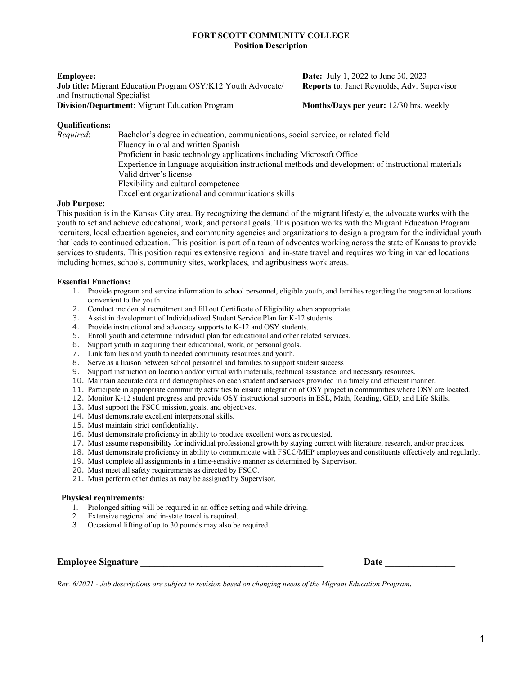## **FORT SCOTT COMMUNITY COLLEGE Position Description**

**Job title:** Migrant Education Program OSY/K12 Youth Advocate/ **Reports to**: Janet Reynolds, Adv. Supervisor and Instructional Specialist **Division/Department:** Migrant Education Program **Months/Days per year:** 12/30 hrs. weekly

**Employee: Date:** July 1, 2022 to June 30, 2023

## **Qualifications:**

*Required*: Bachelor's degree in education, communications, social service, or related field Fluency in oral and written Spanish Proficient in basic technology applications including Microsoft Office Experience in language acquisition instructional methods and development of instructional materials Valid driver's license Flexibility and cultural competence Excellent organizational and communications skills

## **Job Purpose:**

This position is in the Kansas City area. By recognizing the demand of the migrant lifestyle, the advocate works with the youth to set and achieve educational, work, and personal goals. This position works with the Migrant Education Program recruiters, local education agencies, and community agencies and organizations to design a program for the individual youth that leads to continued education. This position is part of a team of advocates working across the state of Kansas to provide services to students. This position requires extensive regional and in-state travel and requires working in varied locations including homes, schools, community sites, workplaces, and agribusiness work areas.

## **Essential Functions:**

- 1. Provide program and service information to school personnel, eligible youth, and families regarding the program at locations convenient to the youth.
- 2. Conduct incidental recruitment and fill out Certificate of Eligibility when appropriate.
- 3. Assist in development of Individualized Student Service Plan for K-12 students.
- 4. Provide instructional and advocacy supports to K-12 and OSY students.
- 5. Enroll youth and determine individual plan for educational and other related services.
- 6. Support youth in acquiring their educational, work, or personal goals.
- 7. Link families and youth to needed community resources and youth.
- 8. Serve as a liaison between school personnel and families to support student success
- 9. Support instruction on location and/or virtual with materials, technical assistance, and necessary resources.
- 10. Maintain accurate data and demographics on each student and services provided in a timely and efficient manner.
- 11. Participate in appropriate community activities to ensure integration of OSY project in communities where OSY are located.
- 12. Monitor K-12 student progress and provide OSY instructional supports in ESL, Math, Reading, GED, and Life Skills.
- 13. Must support the FSCC mission, goals, and objectives.
- 14. Must demonstrate excellent interpersonal skills.
- 15. Must maintain strict confidentiality.
- 16. Must demonstrate proficiency in ability to produce excellent work as requested.
- 17. Must assume responsibility for individual professional growth by staying current with literature, research, and/or practices.
- 18. Must demonstrate proficiency in ability to communicate with FSCC/MEP employees and constituents effectively and regularly.
- 19. Must complete all assignments in a time-sensitive manner as determined by Supervisor.
- 20. Must meet all safety requirements as directed by FSCC.
- 21. Must perform other duties as may be assigned by Supervisor.

#### **Physical requirements:**

- 1. Prolonged sitting will be required in an office setting and while driving.
- Extensive regional and in-state travel is required.
- 3. Occasional lifting of up to 30 pounds may also be required.

| <b>Employee Signature</b> |  |  |  |
|---------------------------|--|--|--|
|---------------------------|--|--|--|

**Employee Signature \_\_\_\_\_\_\_\_\_\_\_\_\_\_\_\_\_\_\_\_\_\_\_\_\_\_\_\_\_\_\_\_\_\_\_\_\_\_\_ Date \_\_\_\_\_\_\_\_\_\_\_\_\_\_\_**

*Rev. 6/2021 - Job descriptions are subject to revision based on changing needs of the Migrant Education Program*.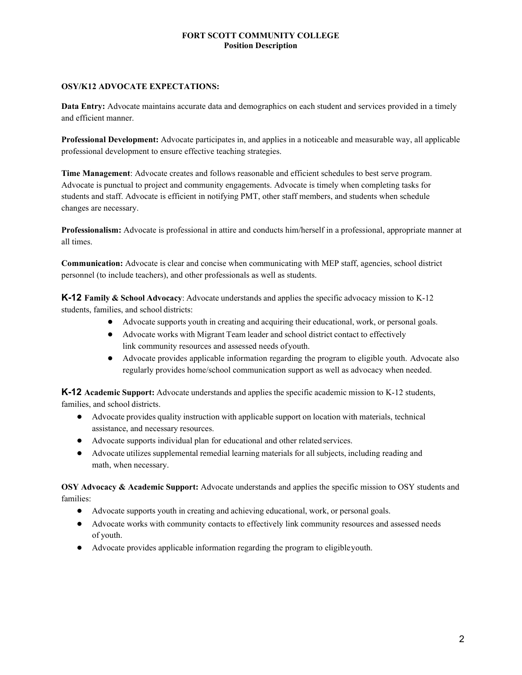## **FORT SCOTT COMMUNITY COLLEGE Position Description**

# **OSY/K12 ADVOCATE EXPECTATIONS:**

**Data Entry:** Advocate maintains accurate data and demographics on each student and services provided in a timely and efficient manner.

**Professional Development:** Advocate participates in, and applies in a noticeable and measurable way, all applicable professional development to ensure effective teaching strategies.

**Time Management**: Advocate creates and follows reasonable and efficient schedules to best serve program. Advocate is punctual to project and community engagements. Advocate is timely when completing tasks for students and staff. Advocate is efficient in notifying PMT, other staff members, and students when schedule changes are necessary.

**Professionalism:** Advocate is professional in attire and conducts him/herself in a professional, appropriate manner at all times.

**Communication:** Advocate is clear and concise when communicating with MEP staff, agencies, school district personnel (to include teachers), and other professionals as well as students.

**K-12 Family & School Advocacy**: Advocate understands and applies the specific advocacy mission to K-12 students, families, and school districts:

- Advocate supports youth in creating and acquiring their educational, work, or personal goals.
- Advocate works with Migrant Team leader and school district contact to effectively link community resources and assessed needs ofyouth.
- Advocate provides applicable information regarding the program to eligible youth. Advocate also regularly provides home/school communication support as well as advocacy when needed.

**K-12 Academic Support:** Advocate understands and applies the specific academic mission to K-12 students, families, and school districts.

- Advocate provides quality instruction with applicable support on location with materials, technical assistance, and necessary resources.
- Advocate supports individual plan for educational and other related services.
- Advocate utilizes supplemental remedial learning materials for all subjects, including reading and math, when necessary.

**OSY Advocacy & Academic Support:** Advocate understands and applies the specific mission to OSY students and families:

- Advocate supports youth in creating and achieving educational, work, or personal goals.
- Advocate works with community contacts to effectively link community resources and assessed needs of youth.
- Advocate provides applicable information regarding the program to eligibleyouth.